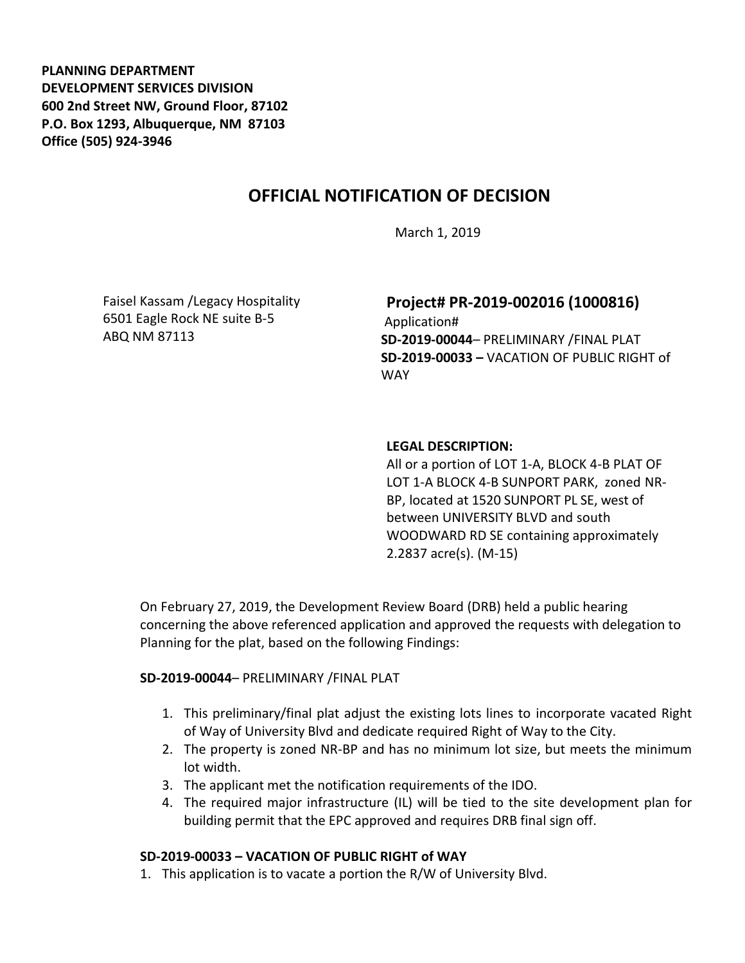**PLANNING DEPARTMENT DEVELOPMENT SERVICES DIVISION 600 2nd Street NW, Ground Floor, 87102 P.O. Box 1293, Albuquerque, NM 87103 Office (505) 924-3946** 

# **OFFICIAL NOTIFICATION OF DECISION**

March 1, 2019

Faisel Kassam /Legacy Hospitality 6501 Eagle Rock NE suite B-5 ABQ NM 87113

# **Project# PR-2019-002016 (1000816)**

Application# **SD-2019-00044**– PRELIMINARY /FINAL PLAT **SD-2019-00033 –** VACATION OF PUBLIC RIGHT of WAY

#### **LEGAL DESCRIPTION:**

All or a portion of LOT 1-A, BLOCK 4-B PLAT OF LOT 1-A BLOCK 4-B SUNPORT PARK, zoned NR-BP, located at 1520 SUNPORT PL SE, west of between UNIVERSITY BLVD and south WOODWARD RD SE containing approximately 2.2837 acre(s). (M-15)

On February 27, 2019, the Development Review Board (DRB) held a public hearing concerning the above referenced application and approved the requests with delegation to Planning for the plat, based on the following Findings:

#### **SD-2019-00044**– PRELIMINARY /FINAL PLAT

- 1. This preliminary/final plat adjust the existing lots lines to incorporate vacated Right of Way of University Blvd and dedicate required Right of Way to the City.
- 2. The property is zoned NR-BP and has no minimum lot size, but meets the minimum lot width.
- 3. The applicant met the notification requirements of the IDO.
- 4. The required major infrastructure (IL) will be tied to the site development plan for building permit that the EPC approved and requires DRB final sign off.

## **SD-2019-00033 – VACATION OF PUBLIC RIGHT of WAY**

1. This application is to vacate a portion the R/W of University Blvd.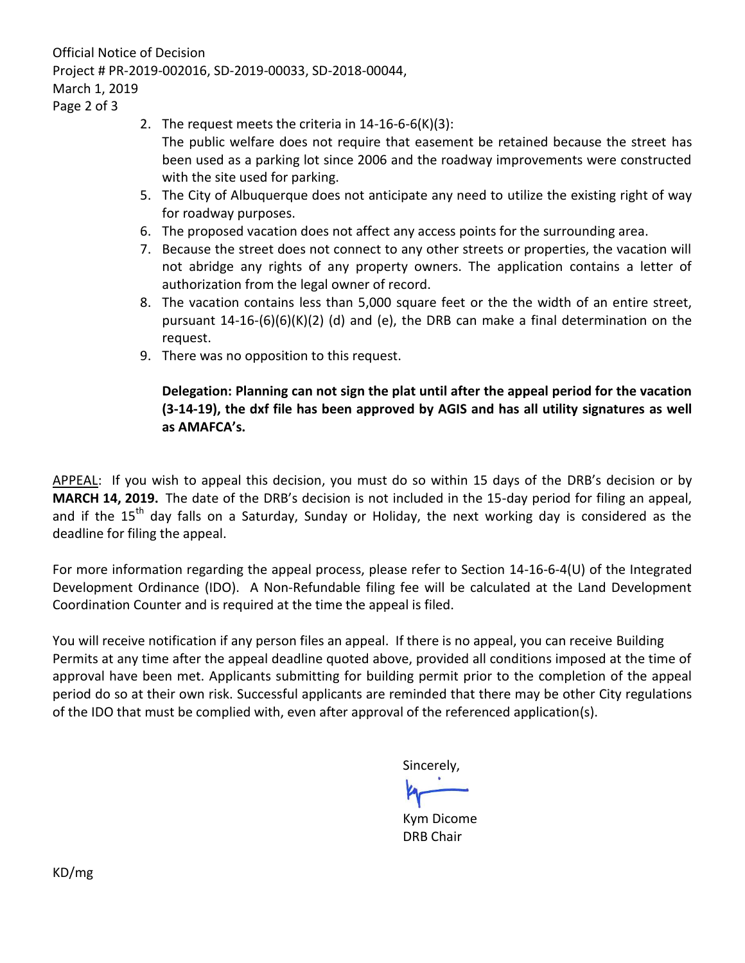Official Notice of Decision Project # PR-2019-002016, SD-2019-00033, SD-2018-00044, March 1, 2019

Page 2 of 3

- 2. The request meets the criteria in 14-16-6-6(K)(3):
	- The public welfare does not require that easement be retained because the street has been used as a parking lot since 2006 and the roadway improvements were constructed with the site used for parking.
- 5. The City of Albuquerque does not anticipate any need to utilize the existing right of way for roadway purposes.
- 6. The proposed vacation does not affect any access points for the surrounding area.
- 7. Because the street does not connect to any other streets or properties, the vacation will not abridge any rights of any property owners. The application contains a letter of authorization from the legal owner of record.
- 8. The vacation contains less than 5,000 square feet or the the width of an entire street, pursuant 14-16-(6)(6)(K)(2) (d) and (e), the DRB can make a final determination on the request.
- 9. There was no opposition to this request.

## **Delegation: Planning can not sign the plat until after the appeal period for the vacation (3-14-19), the dxf file has been approved by AGIS and has all utility signatures as well as AMAFCA's.**

APPEAL: If you wish to appeal this decision, you must do so within 15 days of the DRB's decision or by **MARCH 14, 2019.** The date of the DRB's decision is not included in the 15-day period for filing an appeal, and if the  $15<sup>th</sup>$  day falls on a Saturday, Sunday or Holiday, the next working day is considered as the deadline for filing the appeal.

For more information regarding the appeal process, please refer to Section 14-16-6-4(U) of the Integrated Development Ordinance (IDO). A Non-Refundable filing fee will be calculated at the Land Development Coordination Counter and is required at the time the appeal is filed.

You will receive notification if any person files an appeal. If there is no appeal, you can receive Building Permits at any time after the appeal deadline quoted above, provided all conditions imposed at the time of approval have been met. Applicants submitting for building permit prior to the completion of the appeal period do so at their own risk. Successful applicants are reminded that there may be other City regulations of the IDO that must be complied with, even after approval of the referenced application(s).

Sincerely,

Kym Dicome DRB Chair

KD/mg